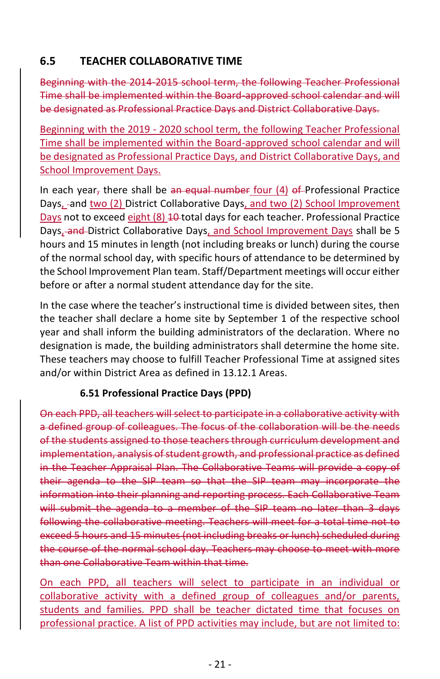## **6.5 TEACHER COLLABORATIVE TIME**

Beginning with the 2014-2015 school term, the following Teacher Professional Time shall be implemented within the Board-approved school calendar and will be designated as Professional Practice Days and District Collaborative Days.

Beginning with the 2019 - 2020 school term, the following Teacher Professional Time shall be implemented within the Board-approved school calendar and will be designated as Professional Practice Days, and District Collaborative Days, and School Improvement Days.

In each year, there shall be an equal number four  $(4)$  of Professional Practice Days, and two (2) District Collaborative Days, and two (2) School Improvement Days not to exceed eight (8) 10 total days for each teacher. Professional Practice Days, and District Collaborative Days, and School Improvement Days shall be 5 hours and 15 minutes in length (not including breaks or lunch) during the course of the normal school day, with specific hours of attendance to be determined by the School Improvement Plan team. Staff/Department meetings will occur either before or after a normal student attendance day for the site.

In the case where the teacher's instructional time is divided between sites, then the teacher shall declare a home site by September 1 of the respective school year and shall inform the building administrators of the declaration. Where no designation is made, the building administrators shall determine the home site. These teachers may choose to fulfill Teacher Professional Time at assigned sites and/or within District Area as defined in 13.12.1 Areas.

## **6.51 Professional Practice Days (PPD)**

On each PPD, all teachers will select to participate in a collaborative activity with a defined group of colleagues. The focus of the collaboration will be the needs of the students assigned to those teachers through curriculum development and implementation, analysis of student growth, and professional practice as defined in the Teacher Appraisal Plan. The Collaborative Teams will provide a copy of their agenda to the SIP team so that the SIP team may incorporate the information into their planning and reporting process. Each Collaborative Team will submit the agenda to a member of the SIP team no later than 3 days following the collaborative meeting. Teachers will meet for a total time not to exceed 5 hours and 15 minutes (not including breaks or lunch) scheduled during the course of the normal school day. Teachers may choose to meet with more than one Collaborative Team within that time.

On each PPD, all teachers will select to participate in an individual or collaborative activity with a defined group of colleagues and/or parents, students and families. PPD shall be teacher dictated time that focuses on professional practice. A list of PPD activities may include, but are not limited to: